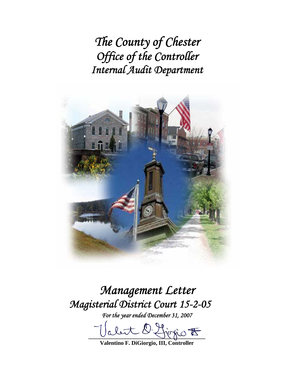*The County of Chester Office of the Controller Internal Audit Department* 



# *Management Letter Magisterial District Court 15-2-05*

*For the year ended December 31, 2007* 

let 2 forgio <del>to</del>

**Valentino F. DiGiorgio, III, Controller**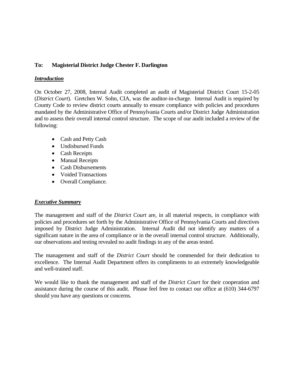## **To: Magisterial District Judge Chester F. Darlington**

### *Introduction*

On October 27, 2008, Internal Audit completed an audit of Magisterial District Court 15-2-05 (*District Court*). Gretchen W. Sohn, CIA, was the auditor-in-charge. Internal Audit is required by County Code to review district courts annually to ensure compliance with policies and procedures mandated by the Administrative Office of Pennsylvania Courts and/or District Judge Administration and to assess their overall internal control structure. The scope of our audit included a review of the following:

- Cash and Petty Cash
- Undisbursed Funds
- Cash Receipts
- Manual Receipts
- Cash Disbursements
- Voided Transactions
- Overall Compliance.

### *Executive Summary*

The management and staff of the *District Court* are, in all material respects, in compliance with policies and procedures set forth by the Administrative Office of Pennsylvania Courts and directives imposed by District Judge Administration. Internal Audit did not identify any matters of a significant nature in the area of compliance or in the overall internal control structure. Additionally, our observations and testing revealed no audit findings in any of the areas tested.

The management and staff of the *District Court* should be commended for their dedication to excellence. The Internal Audit Department offers its compliments to an extremely knowledgeable and well-trained staff.

We would like to thank the management and staff of the *District Court* for their cooperation and assistance during the course of this audit. Please feel free to contact our office at (610) 344-6797 should you have any questions or concerns.